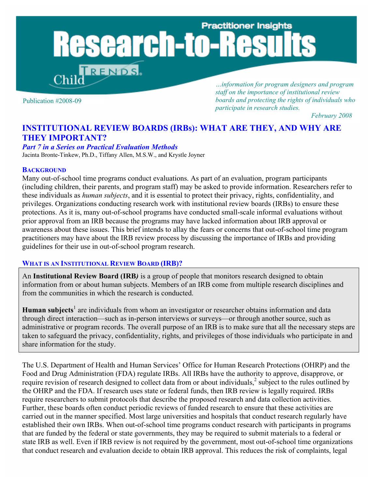# **Practitioner Insights** esearch-to-R **RENDS**

Publication #2008-09

*…information for program designers and program staff on the importance of institutional review boards and protecting the rights of individuals who participate in research studies.*

*February 2008* 

# **INSTITUTIONAL REVIEW BOARDS (IRBs): WHAT ARE THEY, AND WHY ARE THEY IMPORTANT?**

#### *Part 7 in a Series on Practical Evaluation Methods*

Jacinta Bronte-Tinkew, Ph.D., Tiffany Allen, M.S.W., and Krystle Joyner

#### **BACKGROUND**

Many out-of-school time programs conduct evaluations. As part of an evaluation, program participants (including children, their parents, and program staff) may be asked to provide information. Researchers refer to these individuals as *human subjects*, and it is essential to protect their privacy, rights, confidentiality, and privileges. Organizations conducting research work with institutional review boards (IRBs) to ensure these protections. As it is, many out-of-school programs have conducted small-scale informal evaluations without prior approval from an IRB because the programs may have lacked information about IRB approval or awareness about these issues. This brief intends to allay the fears or concerns that out-of-school time program practitioners may have about the IRB review process by discussing the importance of IRBs and providing guidelines for their use in out-of-school program research.

#### **WHAT IS AN INSTITUTIONAL REVIEW BOARD (IRB)?**

An **Institutional Review Board (IRB***)* is a group of people that monitors research designed to obtain information from or about human subjects. Members of an IRB come from multiple research disciplines and from the communities in which the research is conducted.

Human subjects<sup>1</sup> are individuals from whom an investigator or researcher obtains information and data through direct interaction—such as in-person interviews or surveys—or through another source, such as administrative or program records. The overall purpose of an IRB is to make sure that all the necessary steps are taken to safeguard the privacy, confidentiality, rights, and privileges of those individuals who participate in and share information for the study.

The U.S. Department of Health and Human Services' Office for Human Research Protections (OHRP) and the Food and Drug Administration (FDA) regulate IRBs. All IRBs have the authority to approve, disapprove, or require revision of research designed to collect data from or about individuals, $\frac{2}{3}$  subject to the rules outlined by the OHRP and the FDA. If research uses state or federal funds, then IRB review is legally required. IRBs require researchers to submit protocols that describe the proposed research and data collection activities. Further, these boards often conduct periodic reviews of funded research to ensure that these activities are carried out in the manner specified. Most large universities and hospitals that conduct research regularly have established their own IRBs. When out-of-school time programs conduct research with participants in programs that are funded by the federal or state governments, they may be required to submit materials to a federal or state IRB as well. Even if IRB review is not required by the government, most out-of-school time organizations that conduct research and evaluation decide to obtain IRB approval. This reduces the risk of complaints, legal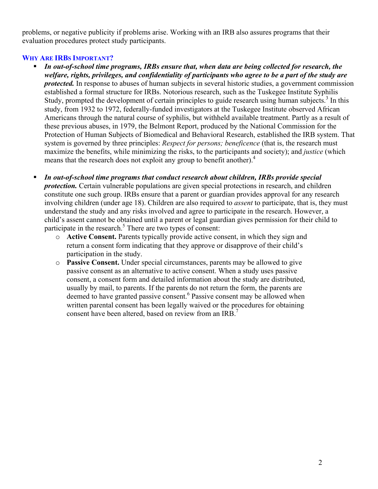problems, or negative publicity if problems arise. Working with an IRB also assures programs that their evaluation procedures protect study participants.

## **WHY ARE IRBS IMPORTANT?**

- *In out-of-school time programs, IRBs ensure that, when data are being collected for research, the welfare, rights, privileges, and confidentiality of participants who agree to be a part of the study are protected*. In response to abuses of human subjects in several historic studies, a government commission established a formal structure for IRBs. Notorious research, such as the Tuskegee Institute Syphilis Study, prompted the development of certain principles to guide research using human subjects.<sup>3</sup> In this study, from 1932 to 1972, federally-funded investigators at the Tuskegee Institute observed African Americans through the natural course of syphilis, but withheld available treatment. Partly as a result of these previous abuses, in 1979, the Belmont Report, produced by the National Commission for the Protection of Human Subjects of Biomedical and Behavioral Research, established the IRB system. That system is governed by three principles: *Respect for persons; beneficence* (that is, the research must maximize the benefits, while minimizing the risks, to the participants and society); and *justice* (which means that the research does not exploit any group to benefit another).<sup>4</sup>
- *In out-of-school time programs that conduct research about children, IRBs provide special protection.* Certain vulnerable populations are given special protections in research, and children constitute one such group. IRBs ensure that a parent or guardian provides approval for any research involving children (under age 18). Children are also required to *assent* to participate, that is, they must understand the study and any risks involved and agree to participate in the research. However, a child's assent cannot be obtained until a parent or legal guardian gives permission for their child to participate in the research. $<sup>5</sup>$  There are two types of consent:</sup>
	- o **Active Consent.** Parents typically provide active consent, in which they sign and return a consent form indicating that they approve or disapprove of their child's participation in the study.
	- o **Passive Consent.** Under special circumstances, parents may be allowed to give passive consent as an alternative to active consent. When a study uses passive consent, a consent form and detailed information about the study are distributed, usually by mail, to parents. If the parents do not return the form, the parents are deemed to have granted passive consent.<sup>6</sup> Passive consent may be allowed when written parental consent has been legally waived or the procedures for obtaining consent have been altered, based on review from an IRB.<sup>7</sup>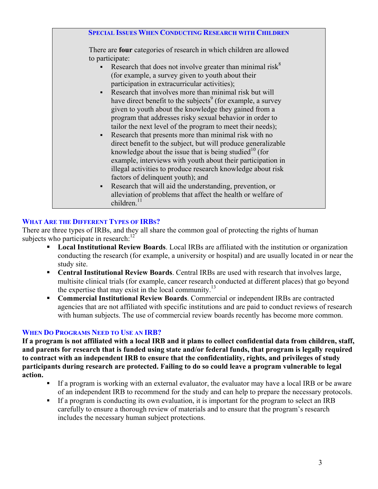| <b>SPECIAL ISSUES WHEN CONDUCTING RESEARCH WITH CH</b>                     |
|----------------------------------------------------------------------------|
| There are <b>four</b> categories of research in which children are allowed |
| to participate:                                                            |
| Research that does not involve greater than minimal risk $8$               |
| (for example, a survey given to youth about their                          |
| participation in extracurricular activities);                              |
| Research that involves more than minimal risk but will                     |
| have direct benefit to the subjects <sup>9</sup> (for example, a survey    |
| given to youth about the knowledge they gained from a                      |
| program that addresses risky sexual behavior in order to                   |
| tailor the next level of the program to meet their needs);                 |
| Research that presents more than minimal risk with no                      |
| direct benefit to the subject, but will produce generalizable              |
| knowledge about the issue that is being studied $10$ (for                  |
| example, interviews with youth about their participation in                |
| illegal activities to produce research knowledge about risk                |
| factors of delinquent youth); and                                          |
| Research that will aid the understanding, prevention, or                   |
| alleviation of problems that affect the health or welfare of               |
| children. $11$                                                             |
|                                                                            |

## **WHAT ARE THE DIFFERENT TYPES OF IRBS?**

There are three types of IRBs, and they all share the common goal of protecting the rights of human subjects who participate in research: $12^{2}$ 

- **Local Institutional Review Boards**. Local IRBs are affiliated with the institution or organization conducting the research (for example, a university or hospital) and are usually located in or near the study site.
- **Central Institutional Review Boards**. Central IRBs are used with research that involves large, multisite clinical trials (for example, cancer research conducted at different places) that go beyond the expertise that may exist in the local community.<sup>13</sup>
- **Commercial Institutional Review Boards**. Commercial or independent IRBs are contracted agencies that are not affiliated with specific institutions and are paid to conduct reviews of research with human subjects. The use of commercial review boards recently has become more common.

### **WHEN DO PROGRAMS NEED TO USE AN IRB?**

**If a program is not affiliated with a local IRB and it plans to collect confidential data from children, staff, and parents for research that is funded using state and/or federal funds, that program is legally required to contract with an independent IRB to ensure that the confidentiality, rights, and privileges of study participants during research are protected. Failing to do so could leave a program vulnerable to legal action.** 

- If a program is working with an external evaluator, the evaluator may have a local IRB or be aware of an independent IRB to recommend for the study and can help to prepare the necessary protocols.
- If a program is conducting its own evaluation, it is important for the program to select an IRB carefully to ensure a thorough review of materials and to ensure that the program's research includes the necessary human subject protections.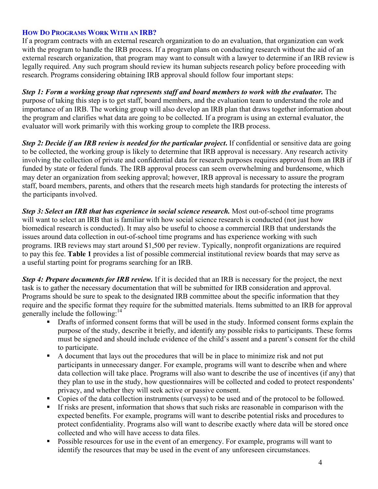## **HOW DO PROGRAMS WORK WITH AN IRB?**

If a program contracts with an external research organization to do an evaluation, that organization can work with the program to handle the IRB process. If a program plans on conducting research without the aid of an external research organization, that program may want to consult with a lawyer to determine if an IRB review is legally required. Any such program should review its human subjects research policy before proceeding with research. Programs considering obtaining IRB approval should follow four important steps:

*Step 1: Form a working group that represents staff and board members to work with the evaluator.* The purpose of taking this step is to get staff, board members, and the evaluation team to understand the role and importance of an IRB. The working group will also develop an IRB plan that draws together information about the program and clarifies what data are going to be collected. If a program is using an external evaluator, the evaluator will work primarily with this working group to complete the IRB process.

*Step 2: Decide if an IRB review is needed for the particular project***.** If confidential or sensitive data are going to be collected, the working group is likely to determine that IRB approval is necessary. Any research activity involving the collection of private and confidential data for research purposes requires approval from an IRB if funded by state or federal funds. The IRB approval process can seem overwhelming and burdensome, which may deter an organization from seeking approval; however, IRB approval is necessary to assure the program staff, board members, parents, and others that the research meets high standards for protecting the interests of the participants involved.

*Step 3: Select an IRB that has experience in social science research.* Most out-of-school time programs will want to select an IRB that is familiar with how social science research is conducted (not just how biomedical research is conducted). It may also be useful to choose a commercial IRB that understands the issues around data collection in out-of-school time programs and has experience working with such programs. IRB reviews may start around \$1,500 per review. Typically, nonprofit organizations are required to pay this fee. **Table 1** provides a list of possible commercial institutional review boards that may serve as a useful starting point for programs searching for an IRB.

*Step 4:* **<sup>P</sup>***repare documents for IRB review.* If it is decided that an IRB is necessary for the project, the next task is to gather the necessary documentation that will be submitted for IRB consideration and approval. Programs should be sure to speak to the designated IRB committee about the specific information that they require and the specific format they require for the submitted materials. Items submitted to an IRB for approval generally include the following: $14$ 

- Drafts of informed consent forms that will be used in the study. Informed consent forms explain the purpose of the study, describe it briefly, and identify any possible risks to participants. These forms must be signed and should include evidence of the child's assent and a parent's consent for the child to participate.
- A document that lays out the procedures that will be in place to minimize risk and not put participants in unnecessary danger. For example, programs will want to describe when and where data collection will take place. Programs will also want to describe the use of incentives (if any) that they plan to use in the study, how questionnaires will be collected and coded to protect respondents' privacy, and whether they will seek active or passive consent.
- Copies of the data collection instruments (surveys) to be used and of the protocol to be followed.
- If risks are present, information that shows that such risks are reasonable in comparison with the expected benefits. For example, programs will want to describe potential risks and procedures to protect confidentiality. Programs also will want to describe exactly where data will be stored once collected and who will have access to data files.
- **Possible resources for use in the event of an emergency. For example, programs will want to** identify the resources that may be used in the event of any unforeseen circumstances.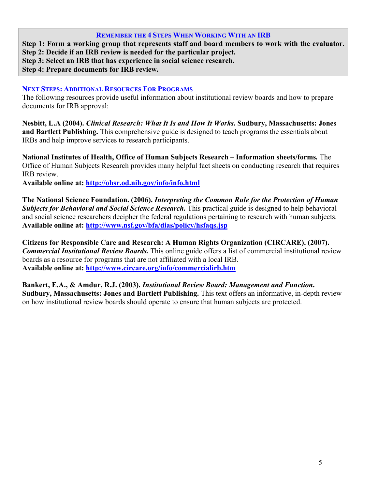#### **REMEMBER THE 4 STEPS WHEN WORKING WITH AN IRB**

**Step 1: Form a working group that represents staff and board members to work with the evaluator. Step 2: Decide if an IRB review is needed for the particular project. Step 3: Select an IRB that has experience in social science research. Step 4: Prepare documents for IRB review.** 

# **NEXT STEPS: ADDITIONAL RESOURCES FOR PROGRAMS**

The following resources provide useful information about institutional review boards and how to prepare documents for IRB approval:

**Nesbitt, L.A (2004).** *Clinical Research: What It Is and How It Works***. Sudbury, Massachusetts: Jones and Bartlett Publishing.** This comprehensive guide is designed to teach programs the essentials about IRBs and help improve services to research participants.

**National Institutes of Health, Office of Human Subjects Research – Information sheets/forms***.* The Office of Human Subjects Research provides many helpful fact sheets on conducting research that requires IRB review.

**Available online at: http://ohsr.od.nih.gov/info/info.html**

**The National Science Foundation. (2006).** *Interpreting the Common Rule for the Protection of Human*  **Subjects for Behavioral and Social Science Research.** This practical guide is designed to help behavioral and social science researchers decipher the federal regulations pertaining to research with human subjects. **Available online at: http://www.nsf.gov/bfa/dias/policy/hsfaqs.jsp**

**Citizens for Responsible Care and Research: A Human Rights Organization (CIRCARE). (2007).**  *Commercial Institutional Review Boards.* This online guide offers a list of commercial institutional review boards as a resource for programs that are not affiliated with a local IRB. **Available online at: http://www.circare.org/info/commercialirb.htm**

**Bankert, E.A., & Amdur, R.J. (2003).** *Institutional Review Board: Management and Function***. Sudbury, Massachusetts: Jones and Bartlett Publishing.** This text offers an informative, in-depth review on how institutional review boards should operate to ensure that human subjects are protected.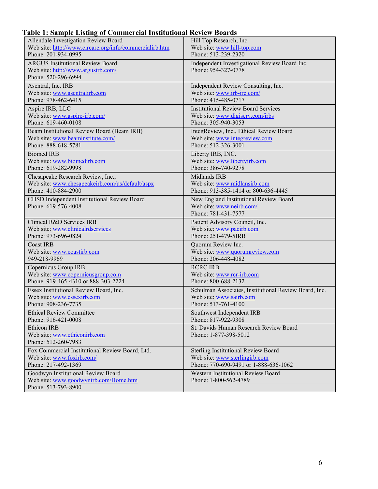# **Table 1: Sample Listing of Commercial Institutional Review Boards**

| Allendale Investigation Review Board                                   | Hill Top Research, Inc.                                             |
|------------------------------------------------------------------------|---------------------------------------------------------------------|
| Web site: http://www.circare.org/info/commercialirb.htm                | Web site: www.hill-top.com                                          |
| Phone: 201-934-0995                                                    | Phone: 513-239-2320                                                 |
| <b>ARGUS Institutional Review Board</b>                                | Independent Investigational Review Board Inc.                       |
| Web site: http://www.argusirb.com/                                     | Phone: 954-327-0778                                                 |
| Phone: 520-296-6994                                                    |                                                                     |
| Asentral, Inc. IRB                                                     | Independent Review Consulting, Inc.                                 |
| Web site: www.asentralirb.com                                          | Web site: www.irb-irc.com/                                          |
| Phone: 978-462-6415                                                    | Phone: 415-485-0717                                                 |
| Aspire IRB, LLC                                                        | <b>Institutional Review Board Services</b>                          |
| Web site: www.aspire-irb.com/                                          | Web site: www.digiserv.com/irbs                                     |
| Phone: 619-460-0108                                                    | Phone: 305-940-3053                                                 |
| Beam Institutional Review Board (Beam IRB)                             | IntegReview, Inc., Ethical Review Board                             |
| Web site: www.beaminstitute.com/                                       | Web site: www.integreview.com                                       |
| Phone: 888-618-5781                                                    | Phone: 512-326-3001                                                 |
| <b>Biomed IRB</b>                                                      | Liberty IRB, INC.                                                   |
| Web site: www.biomedirb.com                                            | Web site: www.libertyirb.com                                        |
| Phone: 619-282-9998                                                    | Phone: 386-740-9278                                                 |
|                                                                        |                                                                     |
| Chesapeake Research Review, Inc.,                                      | Midlands IRB                                                        |
| Web site: www.chesapeakeirb.com/us/default/aspx<br>Phone: 410-884-2900 | Web site: www.midlansirb.com<br>Phone: 913-385-1414 or 800-636-4445 |
|                                                                        |                                                                     |
| CHSD Independent Institutional Review Board                            | New England Institutional Review Board                              |
| Phone: 619-576-4008                                                    | Web site: www.neirb.com/                                            |
|                                                                        | Phone: 781-431-7577                                                 |
| Clinical R&D Services IRB                                              | Patient Advisory Council, Inc.                                      |
| Web site: www.clinicalrdservices                                       | Web site: www.pacirb.com                                            |
| Phone: 973-696-0824                                                    | Phone: 251-479-5IRB                                                 |
| <b>Coast IRB</b>                                                       | Quorum Review Inc.                                                  |
| Web site: www.coastirb.com                                             | Web site: www.quorumreview.com                                      |
| 949-218-9969                                                           | Phone: 206-448-4082                                                 |
| Copernicus Group IRB                                                   | <b>RCRC IRB</b>                                                     |
| Web site: www.copernicusgroup.com                                      | Web site: www.rcr-irb.com                                           |
| Phone: 919-465-4310 or 888-303-2224                                    | Phone: 800-688-2132                                                 |
| Essex Institutional Review Board, Inc.                                 | Schulman Associates, Institutional Review Board, Inc.               |
| Web site: www.essexirb.com                                             | Web site: www.sairb.com                                             |
| Phone: 908-236-7735                                                    | Phone: 513-761-4100                                                 |
| <b>Ethical Review Committee</b>                                        | Southwest Independent IRB                                           |
| Phone: 916-421-0008                                                    | Phone: 817-922-9308                                                 |
| Ethicon IRB                                                            | St. Davids Human Research Review Board                              |
| Web site: www.ethiconirb.com                                           | Phone: 1-877-398-5012                                               |
| Phone: 512-260-7983                                                    |                                                                     |
| Fox Commercial Institutional Review Board, Ltd.                        | <b>Sterling Institutional Review Board</b>                          |
| Web site: www.foxirb.com/                                              | Web site: www.sterlingirb.com                                       |
| Phone: 217-492-1369                                                    | Phone: 770-690-9491 or 1-888-636-1062                               |
| Goodwyn Institutional Review Board                                     | Western Institutional Review Board                                  |
| Web site: www.goodwynirb.com/Home.htm                                  | Phone: 1-800-562-4789                                               |
| Phone: 513-793-8900                                                    |                                                                     |
|                                                                        |                                                                     |